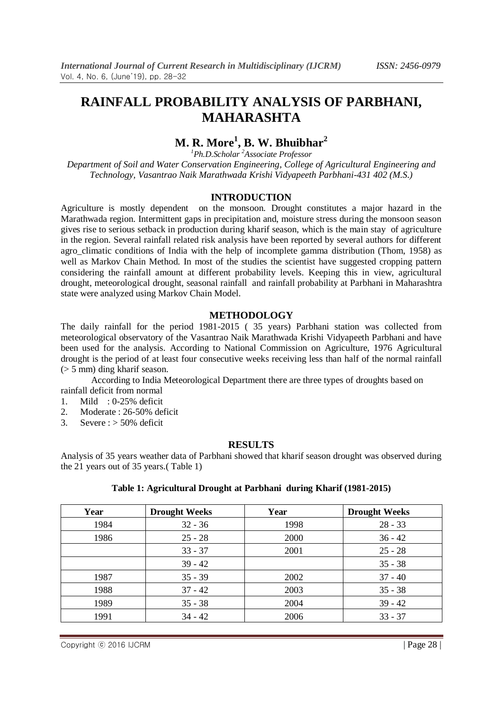# **M. R. More<sup>1</sup> , B. W. Bhuibhar<sup>2</sup>**

*<sup>1</sup>Ph.D.Scholar <sup>2</sup>Associate Professor Department of Soil and Water Conservation Engineering, College of Agricultural Engineering and Technology, Vasantrao Naik Marathwada Krishi Vidyapeeth Parbhani-431 402 (M.S.)*

#### **INTRODUCTION**

Agriculture is mostly dependent on the monsoon. Drought constitutes a major hazard in the Marathwada region. Intermittent gaps in precipitation and, moisture stress during the monsoon season gives rise to serious setback in production during kharif season, which is the main stay of agriculture in the region. Several rainfall related risk analysis have been reported by several authors for different agro climatic conditions of India with the help of incomplete gamma distribution (Thom, 1958) as well as Markov Chain Method. In most of the studies the scientist have suggested cropping pattern considering the rainfall amount at different probability levels. Keeping this in view, agricultural drought, meteorological drought, seasonal rainfall and rainfall probability at Parbhani in Maharashtra state were analyzed using Markov Chain Model.

#### **METHODOLOGY**

The daily rainfall for the period 1981-2015 ( 35 years) Parbhani station was collected from meteorological observatory of the Vasantrao Naik Marathwada Krishi Vidyapeeth Parbhani and have been used for the analysis. According to National Commission on Agriculture, 1976 Agricultural drought is the period of at least four consecutive weeks receiving less than half of the normal rainfall (> 5 mm) ding kharif season.

According to India Meteorological Department there are three types of droughts based on rainfall deficit from normal

- 1. Mild : 0-25% deficit
- 2. Moderate : 26-50% deficit
- 3. Severe :  $> 50\%$  deficit

#### **RESULTS**

Analysis of 35 years weather data of Parbhani showed that kharif season drought was observed during the 21 years out of 35 years.( Table 1)

| Table 1: Agricultural Drought at Parbhani during Kharif (1981-2015) |  |
|---------------------------------------------------------------------|--|
|                                                                     |  |

| Year | <b>Drought Weeks</b> | Year | <b>Drought Weeks</b> |
|------|----------------------|------|----------------------|
| 1984 | $32 - 36$            | 1998 | $28 - 33$            |
| 1986 | $25 - 28$            | 2000 | $36 - 42$            |
|      | $33 - 37$            | 2001 | $25 - 28$            |
|      | $39 - 42$            |      | $35 - 38$            |
| 1987 | $35 - 39$            | 2002 | $37 - 40$            |
| 1988 | $37 - 42$            | 2003 | $35 - 38$            |
| 1989 | $35 - 38$            | 2004 | $39 - 42$            |
| 1991 | $34 - 42$            | 2006 | $33 - 37$            |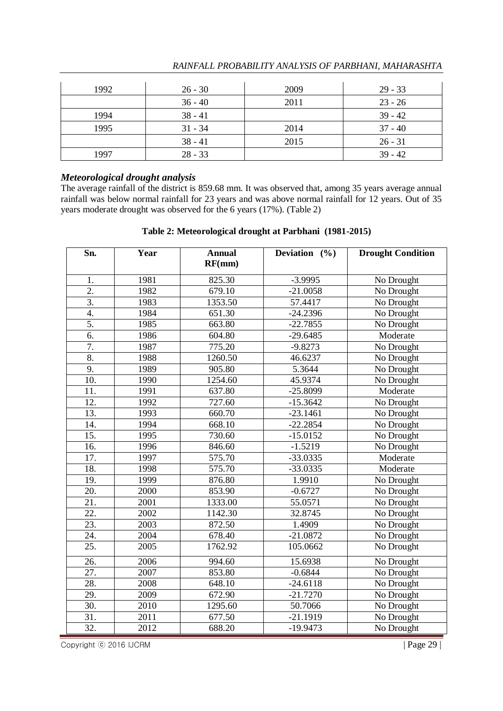| 1992 | $26 - 30$ | 2009 | $29 - 33$ |
|------|-----------|------|-----------|
|      | $36 - 40$ | 2011 | $23 - 26$ |
| 1994 | $38 - 41$ |      | $39 - 42$ |
| 1995 | $31 - 34$ | 2014 | $37 - 40$ |
|      | $38 - 41$ | 2015 | $26 - 31$ |
| 1997 | $28 - 33$ |      | $39 - 42$ |

## *Meteorological drought analysis*

The average rainfall of the district is 859.68 mm. It was observed that, among 35 years average annual rainfall was below normal rainfall for 23 years and was above normal rainfall for 12 years. Out of 35 years moderate drought was observed for the 6 years (17%). (Table 2)

#### **Table 2: Meteorological drought at Parbhani (1981-2015)**

| Sn.               | Year | <b>Annual</b><br>RF(mm) | Deviation $(%$ | <b>Drought Condition</b>      |
|-------------------|------|-------------------------|----------------|-------------------------------|
| 1.                | 1981 | 825.30                  | $-3.9995$      | No Drought                    |
| $\overline{2}$ .  | 1982 | 679.10                  | $-21.0058$     | No Drought                    |
| $\overline{3}$ .  | 1983 | 1353.50                 | 57.4417        | No Drought                    |
| 4.                | 1984 | 651.30                  | $-24.2396$     | No Drought                    |
| 5.                | 1985 | 663.80                  | $-22.7855$     | No Drought                    |
| 6.                | 1986 | 604.80                  | $-29.6485$     | $\overline{\text{M}}$ oderate |
| $\overline{7}$ .  | 1987 | 775.20                  | $-9.8273$      | No Drought                    |
| 8.                | 1988 | 1260.50                 | 46.6237        | No Drought                    |
| 9.                | 1989 | 905.80                  | 5.3644         | No Drought                    |
| 10.               | 1990 | 1254.60                 | 45.9374        | No Drought                    |
| 11.               | 1991 | 637.80                  | $-25.8099$     | Moderate                      |
| 12.               | 1992 | 727.60                  | $-15.3642$     | No Drought                    |
| 13.               | 1993 | 660.70                  | $-23.1461$     | No Drought                    |
| 14.               | 1994 | 668.10                  | $-22.2854$     | No Drought                    |
| 15.               | 1995 | 730.60                  | $-15.0152$     | No Drought                    |
| 16.               | 1996 | 846.60                  | $-1.5219$      | No Drought                    |
| $\overline{17}$ . | 1997 | 575.70                  | $-33.0335$     | Moderate                      |
| 18.               | 1998 | 575.70                  | $-33.0335$     | Moderate                      |
| 19.               | 1999 | 876.80                  | 1.9910         | No Drought                    |
| 20.               | 2000 | 853.90                  | $-0.6727$      | No Drought                    |
| $\overline{21}$ . | 2001 | 1333.00                 | 55.0571        | No Drought                    |
| 22.               | 2002 | 1142.30                 | 32.8745        | No Drought                    |
| 23.               | 2003 | 872.50                  | 1.4909         | No Drought                    |
| 24.               | 2004 | 678.40                  | $-21.0872$     | No Drought                    |
| 25.               | 2005 | 1762.92                 | 105.0662       | No Drought                    |
| 26.               | 2006 | 994.60                  | 15.6938        | No Drought                    |
| 27.               | 2007 | 853.80                  | $-0.6844$      | No Drought                    |
| 28.               | 2008 | 648.10                  | $-24.6118$     | No Drought                    |
| 29.               | 2009 | 672.90                  | $-21.7270$     | No Drought                    |
| $\overline{30}$ . | 2010 | 1295.60                 | 50.7066        | No Drought                    |
| $\overline{31}$ . | 2011 | 677.50                  | $-21.1919$     | No Drought                    |
| 32.               | 2012 | 688.20                  | $-19.9473$     | No Drought                    |

Copyright © 2016 IJCRM | Page 29 |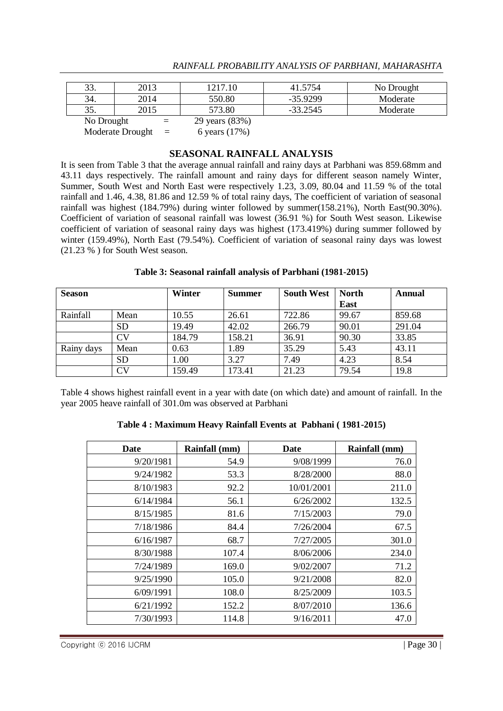| 33.        | 2013 |     | 1217.10        | 41.5754    | No Drought |
|------------|------|-----|----------------|------------|------------|
| 34.        | 2014 |     | 550.80         | $-35.9299$ | Moderate   |
| 35.        | 2015 |     | 573.80         | $-33.2545$ | Moderate   |
| No Drought |      | $=$ | 29 years (83%) |            |            |
|            |      |     |                |            |            |

Moderate Drought  $=$  6 years (17%)

## **SEASONAL RAINFALL ANALYSIS**

It is seen from Table 3 that the average annual rainfall and rainy days at Parbhani was 859.68mm and 43.11 days respectively. The rainfall amount and rainy days for different season namely Winter, Summer, South West and North East were respectively 1.23, 3.09, 80.04 and 11.59 % of the total rainfall and 1.46, 4.38, 81.86 and 12.59 % of total rainy days, The coefficient of variation of seasonal rainfall was highest (184.79%) during winter followed by summer(158.21%), North East(90.30%). Coefficient of variation of seasonal rainfall was lowest (36.91 %) for South West season. Likewise coefficient of variation of seasonal rainy days was highest (173.419%) during summer followed by winter (159.49%), North East (79.54%). Coefficient of variation of seasonal rainy days was lowest (21.23 % ) for South West season.

| Table 3: Seasonal rainfall analysis of Parbhani (1981-2015) |  |  |  |  |
|-------------------------------------------------------------|--|--|--|--|
|-------------------------------------------------------------|--|--|--|--|

| <b>Season</b> |           | Winter | <b>Summer</b> | <b>South West</b> | <b>North</b> | Annual |
|---------------|-----------|--------|---------------|-------------------|--------------|--------|
|               |           |        |               |                   | East         |        |
| Rainfall      | Mean      | 10.55  | 26.61         | 722.86            | 99.67        | 859.68 |
|               | <b>SD</b> | 19.49  | 42.02         | 266.79            | 90.01        | 291.04 |
|               | CV        | 184.79 | 158.21        | 36.91             | 90.30        | 33.85  |
| Rainy days    | Mean      | 0.63   | 1.89          | 35.29             | 5.43         | 43.11  |
|               | <b>SD</b> | 1.00   | 3.27          | 7.49              | 4.23         | 8.54   |
|               | CV        | 159.49 | 173.41        | 21.23             | 79.54        | 19.8   |

Table 4 shows highest rainfall event in a year with date (on which date) and amount of rainfall. In the year 2005 heave rainfall of 301.0m was observed at Parbhani

## **Table 4 : Maximum Heavy Rainfall Events at Pabhani ( 1981-2015)**

| Date      | Rainfall (mm) | <b>Date</b> | Rainfall (mm) |
|-----------|---------------|-------------|---------------|
| 9/20/1981 | 54.9          | 9/08/1999   | 76.0          |
| 9/24/1982 | 53.3          | 8/28/2000   | 88.0          |
| 8/10/1983 | 92.2          | 10/01/2001  | 211.0         |
| 6/14/1984 | 56.1          | 6/26/2002   | 132.5         |
| 8/15/1985 | 81.6          | 7/15/2003   | 79.0          |
| 7/18/1986 | 84.4          | 7/26/2004   | 67.5          |
| 6/16/1987 | 68.7          | 7/27/2005   | 301.0         |
| 8/30/1988 | 107.4         | 8/06/2006   | 234.0         |
| 7/24/1989 | 169.0         | 9/02/2007   | 71.2          |
| 9/25/1990 | 105.0         | 9/21/2008   | 82.0          |
| 6/09/1991 | 108.0         | 8/25/2009   | 103.5         |
| 6/21/1992 | 152.2         | 8/07/2010   | 136.6         |
| 7/30/1993 | 114.8         | 9/16/2011   | 47.0          |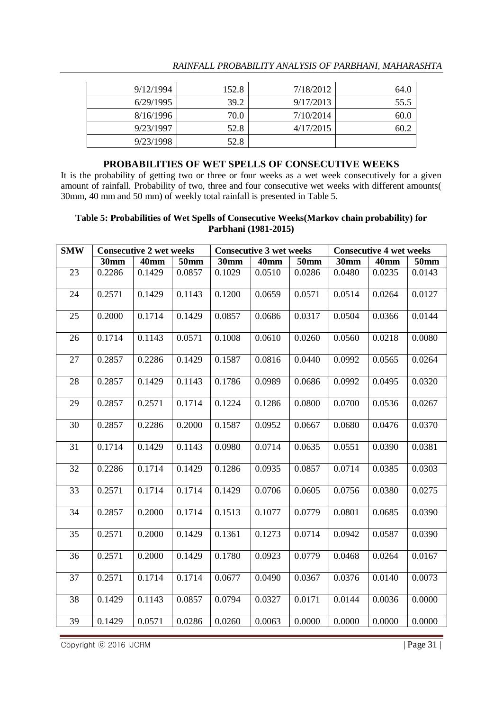| 9/12/1994 | 152.8 | 7/18/2012 | 64.0 |
|-----------|-------|-----------|------|
| 6/29/1995 | 39.2  | 9/17/2013 | 55.5 |
| 8/16/1996 | 70.0  | 7/10/2014 | 60.0 |
| 9/23/1997 | 52.8  | 4/17/2015 | 60.2 |
| 9/23/1998 | 52.8  |           |      |

#### **PROBABILITIES OF WET SPELLS OF CONSECUTIVE WEEKS**

It is the probability of getting two or three or four weeks as a wet week consecutively for a given amount of rainfall. Probability of two, three and four consecutive wet weeks with different amounts( 30mm, 40 mm and 50 mm) of weekly total rainfall is presented in Table 5.

#### **Table 5: Probabilities of Wet Spells of Consecutive Weeks(Markov chain probability) for Parbhani (1981-2015)**

| <b>SMW</b> | <b>Consecutive 2 wet weeks</b><br><b>Consecutive 3 wet weeks</b> |             |                  | <b>Consecutive 4 wet weeks</b> |             |             |             |             |             |
|------------|------------------------------------------------------------------|-------------|------------------|--------------------------------|-------------|-------------|-------------|-------------|-------------|
|            | <b>30mm</b>                                                      | <b>40mm</b> | 50 <sub>mm</sub> | <b>30mm</b>                    | <b>40mm</b> | <b>50mm</b> | <b>30mm</b> | <b>40mm</b> | <b>50mm</b> |
| 23         | 0.2286                                                           | 0.1429      | 0.0857           | 0.1029                         | 0.0510      | 0.0286      | 0.0480      | 0.0235      | 0.0143      |
| 24         | 0.2571                                                           | 0.1429      | 0.1143           | 0.1200                         | 0.0659      | 0.0571      | 0.0514      | 0.0264      | 0.0127      |
| 25         | 0.2000                                                           | 0.1714      | 0.1429           | 0.0857                         | 0.0686      | 0.0317      | 0.0504      | 0.0366      | 0.0144      |
| 26         | 0.1714                                                           | 0.1143      | 0.0571           | 0.1008                         | 0.0610      | 0.0260      | 0.0560      | 0.0218      | 0.0080      |
| 27         | 0.2857                                                           | 0.2286      | 0.1429           | 0.1587                         | 0.0816      | 0.0440      | 0.0992      | 0.0565      | 0.0264      |
| 28         | 0.2857                                                           | 0.1429      | 0.1143           | 0.1786                         | 0.0989      | 0.0686      | 0.0992      | 0.0495      | 0.0320      |
| 29         | 0.2857                                                           | 0.2571      | 0.1714           | 0.1224                         | 0.1286      | 0.0800      | 0.0700      | 0.0536      | 0.0267      |
| 30         | 0.2857                                                           | 0.2286      | 0.2000           | 0.1587                         | 0.0952      | 0.0667      | 0.0680      | 0.0476      | 0.0370      |
| 31         | 0.1714                                                           | 0.1429      | 0.1143           | 0.0980                         | 0.0714      | 0.0635      | 0.0551      | 0.0390      | 0.0381      |
| 32         | 0.2286                                                           | 0.1714      | 0.1429           | 0.1286                         | 0.0935      | 0.0857      | 0.0714      | 0.0385      | 0.0303      |
| 33         | 0.2571                                                           | 0.1714      | 0.1714           | 0.1429                         | 0.0706      | 0.0605      | 0.0756      | 0.0380      | 0.0275      |
| 34         | 0.2857                                                           | 0.2000      | 0.1714           | 0.1513                         | 0.1077      | 0.0779      | 0.0801      | 0.0685      | 0.0390      |
| 35         | 0.2571                                                           | 0.2000      | 0.1429           | 0.1361                         | 0.1273      | 0.0714      | 0.0942      | 0.0587      | 0.0390      |
| 36         | 0.2571                                                           | 0.2000      | 0.1429           | 0.1780                         | 0.0923      | 0.0779      | 0.0468      | 0.0264      | 0.0167      |
| 37         | 0.2571                                                           | 0.1714      | 0.1714           | 0.0677                         | 0.0490      | 0.0367      | 0.0376      | 0.0140      | 0.0073      |
| 38         | 0.1429                                                           | 0.1143      | 0.0857           | 0.0794                         | 0.0327      | 0.0171      | 0.0144      | 0.0036      | 0.0000      |
| 39         | 0.1429                                                           | 0.0571      | 0.0286           | 0.0260                         | 0.0063      | 0.0000      | 0.0000      | 0.0000      | 0.0000      |

Copyright © 2016 IJCRM | Page 31 |